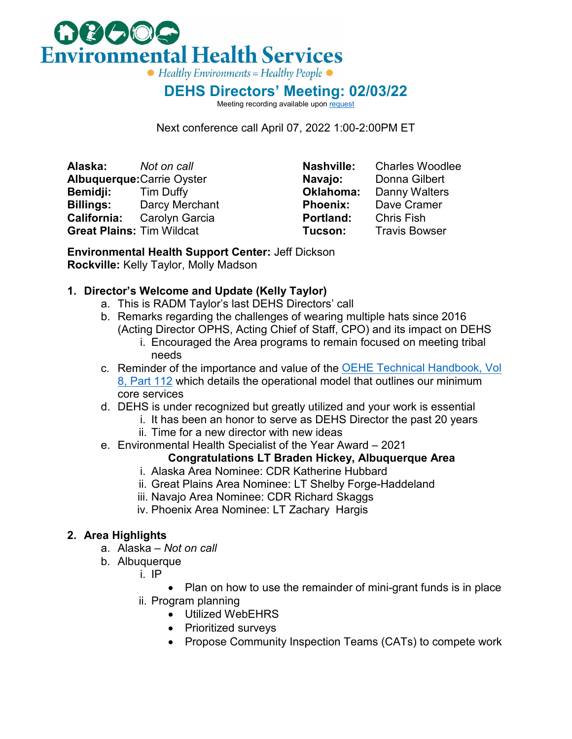

**DEHS Directors' Meeting: 02/03/22**

Meeting recording available upo[n request](mailto:stephen.piontkowski@ihs.gov)

Next conference call April 07, 2022 1:00-2:00PM ET

**Alaska:** *Not on call* **Albuquerque:**Carrie Oyster **Bemidji:** Tim Duffy **Billings:** Darcy Merchant **California:** Carolyn Garcia **Great Plains:** Tim Wildcat

**Nashville:** Charles Woodlee **Navajo:** Donna Gilbert<br>**Oklahoma:** Danny Walters **Oklahoma:** Danny Walters<br>**Phoenix:** Dave Cramer **Dave Cramer Portland:** Chris Fish<br>**Tucson:** Travis Bow **Travis Bowser** 

**Environmental Health Support Center:** Jeff Dickson **Rockville:** Kelly Taylor, Molly Madson

### **1. Director's Welcome and Update (Kelly Taylor)**

- a. This is RADM Taylor's last DEHS Directors' call
- b. Remarks regarding the challenges of wearing multiple hats since 2016 (Acting Director OPHS, Acting Chief of Staff, CPO) and its impact on DEHS
	- i. Encouraged the Area programs to remain focused on meeting tribal needs
- c. Reminder of the importance and value of the [OEHE Technical Handbook, Vol](https://www.ihs.gov/sites/oehe/themes/responsive2017/display_objects/documents/handbook/2-eh-core-services.pdf)  [8, Part 112](https://www.ihs.gov/sites/oehe/themes/responsive2017/display_objects/documents/handbook/2-eh-core-services.pdf) which details the operational model that outlines our minimum core services
- d. DEHS is under recognized but greatly utilized and your work is essential
	- i. It has been an honor to serve as DEHS Director the past 20 years
	- ii. Time for a new director with new ideas
- e. Environmental Health Specialist of the Year Award 2021

# **Congratulations LT Braden Hickey, Albuquerque Area**

- i. Alaska Area Nominee: CDR Katherine Hubbard
- ii. Great Plains Area Nominee: LT Shelby Forge-Haddeland
- iii. Navajo Area Nominee: CDR Richard Skaggs
- iv. Phoenix Area Nominee: LT Zachary Hargis

## **2. Area Highlights**

- a. Alaska *Not on call*
- b. Albuquerque
	- i. IP
		- Plan on how to use the remainder of mini-grant funds is in place
	- ii. Program planning
		- Utilized WebEHRS
		- Prioritized surveys
		- Propose Community Inspection Teams (CATs) to compete work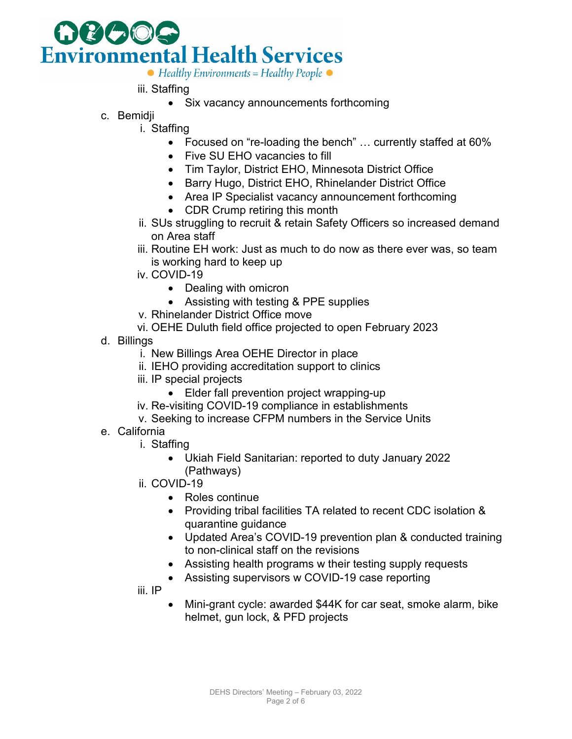

- iii. Staffing
	- Six vacancy announcements forthcoming
- c. Bemidji
	- i. Staffing
		- Focused on "re-loading the bench" … currently staffed at 60%
		- Five SU EHO vacancies to fill
		- Tim Taylor, District EHO, Minnesota District Office
		- Barry Hugo, District EHO, Rhinelander District Office
		- Area IP Specialist vacancy announcement forthcoming
		- CDR Crump retiring this month
		- ii. SUs struggling to recruit & retain Safety Officers so increased demand on Area staff
	- iii. Routine EH work: Just as much to do now as there ever was, so team is working hard to keep up
	- iv. COVID-19
		- Dealing with omicron
		- Assisting with testing & PPE supplies
	- v. Rhinelander District Office move
	- vi. OEHE Duluth field office projected to open February 2023
- d. Billings
	- i. New Billings Area OEHE Director in place
	- ii. IEHO providing accreditation support to clinics
	- iii. IP special projects
		- Elder fall prevention project wrapping-up
	- iv. Re-visiting COVID-19 compliance in establishments
	- v. Seeking to increase CFPM numbers in the Service Units
- e. California
	- i. Staffing
		- Ukiah Field Sanitarian: reported to duty January 2022 (Pathways)
	- ii. COVID-19
		- Roles continue
		- Providing tribal facilities TA related to recent CDC isolation & quarantine guidance
		- Updated Area's COVID-19 prevention plan & conducted training to non-clinical staff on the revisions
		- Assisting health programs w their testing supply requests
		- Assisting supervisors w COVID-19 case reporting

iii. IP

• Mini-grant cycle: awarded \$44K for car seat, smoke alarm, bike helmet, gun lock, & PFD projects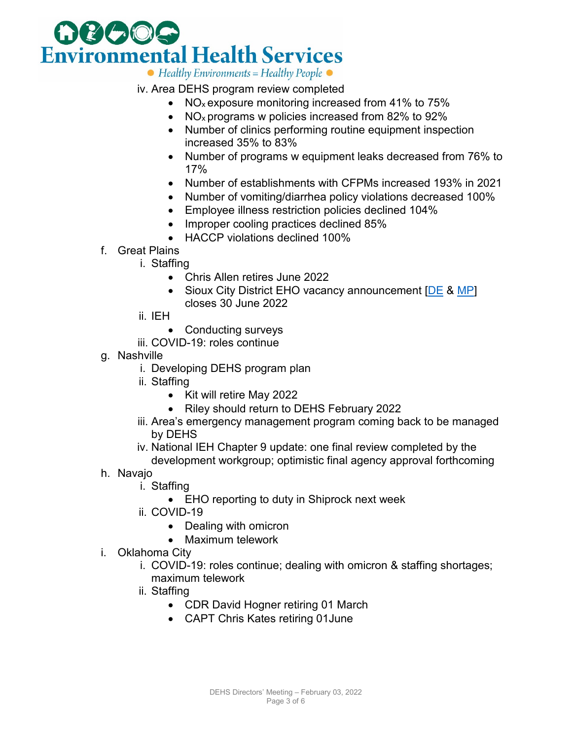

iv. Area DEHS program review completed

- NO<sub>x</sub> exposure monitoring increased from 41% to 75%
- NO<sub>x</sub> programs w policies increased from 82% to 92%
- Number of clinics performing routine equipment inspection increased 35% to 83%
- Number of programs w equipment leaks decreased from 76% to 17%
- Number of establishments with CFPMs increased 193% in 2021
- Number of vomiting/diarrhea policy violations decreased 100%
- Employee illness restriction policies declined 104%
- Improper cooling practices declined 85%
- HACCP violations declined 100%
- f. Great Plains
	- i. Staffing
		- Chris Allen retires June 2022
		- Sioux City District EHO vacancy announcement [\[DE](https://www.usajobs.gov/job/633365900) & [MP\]](https://www.usajobs.gov/job/633365000) closes 30 June 2022
	- ii. IEH
		- Conducting surveys
	- iii. COVID-19: roles continue
- g. Nashville
	- i. Developing DEHS program plan
	- ii. Staffing
		- Kit will retire May 2022
		- Riley should return to DEHS February 2022
	- iii. Area's emergency management program coming back to be managed by DEHS
	- iv. National IEH Chapter 9 update: one final review completed by the development workgroup; optimistic final agency approval forthcoming
- h. Navajo
	- i. Staffing
		- EHO reporting to duty in Shiprock next week
	- ii. COVID-19
		- Dealing with omicron
		- Maximum telework
- i. Oklahoma City
	- i. COVID-19: roles continue; dealing with omicron & staffing shortages; maximum telework
	- ii. Staffing
		- CDR David Hogner retiring 01 March
		- CAPT Chris Kates retiring 01June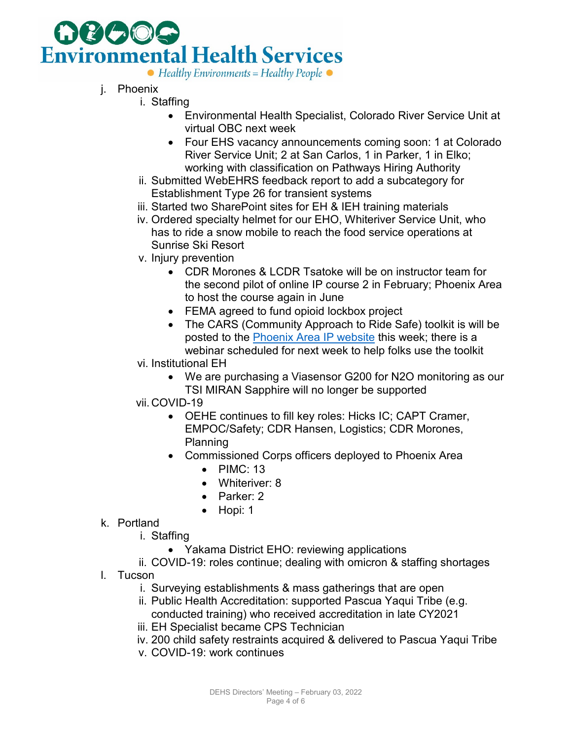

- j. Phoenix
	- i. Staffing
		- Environmental Health Specialist, Colorado River Service Unit at virtual OBC next week
		- Four EHS vacancy announcements coming soon: 1 at Colorado River Service Unit; 2 at San Carlos, 1 in Parker, 1 in Elko; working with classification on Pathways Hiring Authority
		- ii. Submitted WebEHRS feedback report to add a subcategory for Establishment Type 26 for transient systems
		- iii. Started two SharePoint sites for EH & IEH training materials
		- iv. Ordered specialty helmet for our EHO, Whiteriver Service Unit, who has to ride a snow mobile to reach the food service operations at Sunrise Ski Resort
		- v. Injury prevention
			- CDR Morones & LCDR Tsatoke will be on instructor team for the second pilot of online IP course 2 in February; Phoenix Area to host the course again in June
			- FEMA agreed to fund opioid lockbox project
			- The CARS (Community Approach to Ride Safe) toolkit is will be posted to the [Phoenix Area IP website](https://www.ihs.gov/phoenix/programsservices/enviromentalhealth/injury-prevention/) this week; there is a webinar scheduled for next week to help folks use the toolkit
		- vi. Institutional EH
			- We are purchasing a Viasensor G200 for N2O monitoring as our TSI MIRAN Sapphire will no longer be supported
		- vii. COVID-19
			- OEHE continues to fill key roles: Hicks IC; CAPT Cramer, EMPOC/Safety; CDR Hansen, Logistics; CDR Morones, Planning
			- Commissioned Corps officers deployed to Phoenix Area
				- PIMC: 13
				- Whiteriver: 8
				- Parker: 2
				- Hopi: 1
- k. Portland
	- i. Staffing
		- Yakama District EHO: reviewing applications
	- ii. COVID-19: roles continue; dealing with omicron & staffing shortages
- l. Tucson
	- i. Surveying establishments & mass gatherings that are open
	- ii. Public Health Accreditation: supported Pascua Yaqui Tribe (e.g. conducted training) who received accreditation in late CY2021
	- iii. EH Specialist became CPS Technician
	- iv. 200 child safety restraints acquired & delivered to Pascua Yaqui Tribe
	- v. COVID-19: work continues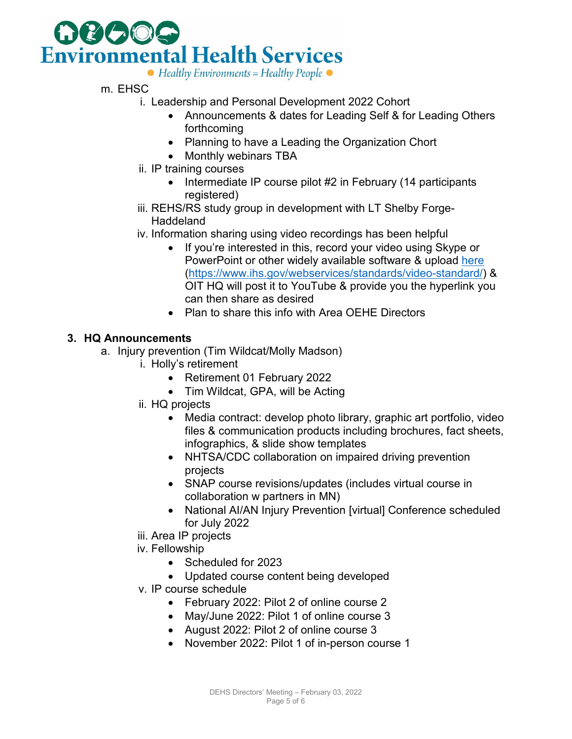

- m. EHSC
	- i. Leadership and Personal Development 2022 Cohort
		- Announcements & dates for Leading Self & for Leading Others forthcoming
		- Planning to have a Leading the Organization Chort
		- Monthly webinars TBA
	- ii. IP training courses
		- Intermediate IP course pilot #2 in February (14 participants registered)
	- iii. REHS/RS study group in development with LT Shelby Forge-**Haddeland**
	- iv. Information sharing using video recordings has been helpful
		- If you're interested in this, record your video using Skype or PowerPoint or other widely available software & upload [here](https://www.ihs.gov/webservices/standards/video-standard/) [\(https://www.ihs.gov/webservices/standards/video-standard/\)](https://www.ihs.gov/webservices/standards/video-standard/) & OIT HQ will post it to YouTube & provide you the hyperlink you can then share as desired
		- Plan to share this info with Area OEHE Directors

#### **3. HQ Announcements**

- a. Injury prevention (Tim Wildcat/Molly Madson)
	- i. Holly's retirement
		- Retirement 01 February 2022
		- Tim Wildcat, GPA, will be Acting
		- ii. HQ projects
			- Media contract: develop photo library, graphic art portfolio, video files & communication products including brochures, fact sheets, infographics, & slide show templates
			- NHTSA/CDC collaboration on impaired driving prevention projects
			- SNAP course revisions/updates (includes virtual course in collaboration w partners in MN)
			- National AI/AN Injury Prevention [virtual] Conference scheduled for July 2022
		- iii. Area IP projects
		- iv. Fellowship
			- Scheduled for 2023
			- Updated course content being developed
		- v. IP course schedule
			- February 2022: Pilot 2 of online course 2
			- May/June 2022: Pilot 1 of online course 3
			- August 2022: Pilot 2 of online course 3
			- November 2022: Pilot 1 of in-person course 1